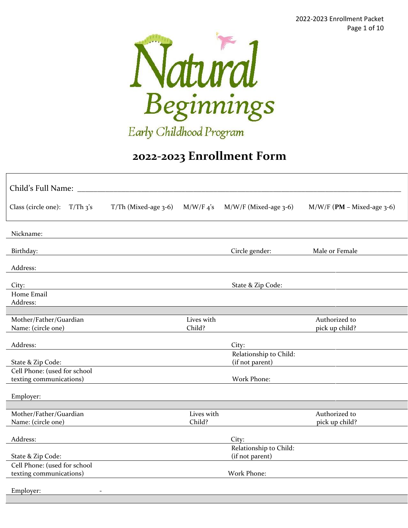2022-2023 Enrollment Packet Page 1 of 10



Early Childhood Program

# **2022-2023 Enrollment Form**

| Child's Full Name:                           |                           |                      |                         |                                 |
|----------------------------------------------|---------------------------|----------------------|-------------------------|---------------------------------|
| Class (circle one):<br>$T/Th$ 3's            | $T/Th$ (Mixed-age $3-6$ ) | $M/W/F_4$ 's         | $M/W/F$ (Mixed-age 3-6) | $M/W/F$ (PM – Mixed-age 3-6)    |
| Nickname:                                    |                           |                      |                         |                                 |
| Birthday:                                    |                           |                      | Circle gender:          | Male or Female                  |
| Address:                                     |                           |                      |                         |                                 |
| City:                                        |                           |                      | State & Zip Code:       |                                 |
| Home Email<br>Address:                       |                           |                      |                         |                                 |
|                                              |                           |                      |                         |                                 |
| Mother/Father/Guardian<br>Name: (circle one) |                           | Lives with<br>Child? |                         | Authorized to<br>pick up child? |
| Address:                                     |                           |                      | City:                   |                                 |
|                                              |                           |                      | Relationship to Child:  |                                 |
| State & Zip Code:                            |                           |                      | (if not parent)         |                                 |
| Cell Phone: (used for school                 |                           |                      |                         |                                 |
| texting communications)                      |                           |                      | Work Phone:             |                                 |
| Employer:                                    |                           |                      |                         |                                 |
|                                              |                           |                      |                         |                                 |
| Mother/Father/Guardian                       |                           | Lives with<br>Child? |                         | Authorized to                   |
| Name: (circle one)                           |                           |                      |                         | pick up child?                  |
| Address:                                     |                           |                      | City:                   |                                 |
|                                              |                           |                      | Relationship to Child:  |                                 |
| State & Zip Code:                            |                           |                      | (if not parent)         |                                 |
| Cell Phone: (used for school                 |                           |                      |                         |                                 |
| texting communications)                      |                           |                      | Work Phone:             |                                 |
| Employer:                                    |                           |                      |                         |                                 |
|                                              |                           |                      |                         |                                 |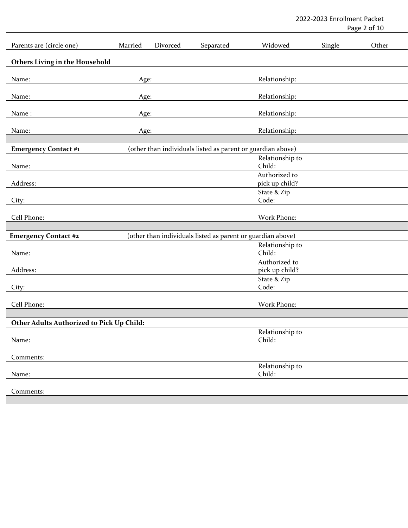2022-2023 Enrollment Packet

Page 2 of 10

| Parents are (circle one)                  | Married | Divorced | Separated                                                   | Widowed                         | Single | Other |
|-------------------------------------------|---------|----------|-------------------------------------------------------------|---------------------------------|--------|-------|
| <b>Others Living in the Household</b>     |         |          |                                                             |                                 |        |       |
| Name:                                     | Age:    |          |                                                             | Relationship:                   |        |       |
|                                           |         |          |                                                             |                                 |        |       |
| Name:                                     | Age:    |          |                                                             | Relationship:                   |        |       |
| Name:                                     | Age:    |          |                                                             | Relationship:                   |        |       |
| Name:                                     | Age:    |          |                                                             | Relationship:                   |        |       |
|                                           |         |          |                                                             |                                 |        |       |
| <b>Emergency Contact #1</b>               |         |          | (other than individuals listed as parent or guardian above) |                                 |        |       |
| Name:                                     |         |          |                                                             | Relationship to<br>Child:       |        |       |
|                                           |         |          |                                                             | Authorized to                   |        |       |
| Address:                                  |         |          |                                                             | pick up child?                  |        |       |
|                                           |         |          |                                                             | State & Zip                     |        |       |
| City:                                     |         |          |                                                             | Code:                           |        |       |
| Cell Phone:                               |         |          |                                                             | Work Phone:                     |        |       |
|                                           |         |          |                                                             |                                 |        |       |
| <b>Emergency Contact #2</b>               |         |          | (other than individuals listed as parent or guardian above) |                                 |        |       |
|                                           |         |          |                                                             | Relationship to                 |        |       |
| Name:                                     |         |          |                                                             | Child:                          |        |       |
| Address:                                  |         |          |                                                             | Authorized to<br>pick up child? |        |       |
|                                           |         |          |                                                             | State & Zip                     |        |       |
| City:                                     |         |          |                                                             | Code:                           |        |       |
|                                           |         |          |                                                             |                                 |        |       |
| Cell Phone:                               |         |          |                                                             | Work Phone:                     |        |       |
| Other Adults Authorized to Pick Up Child: |         |          |                                                             |                                 |        |       |
|                                           |         |          |                                                             | Relationship to                 |        |       |
| Name:                                     |         |          |                                                             | Child:                          |        |       |
| Comments:                                 |         |          |                                                             |                                 |        |       |
|                                           |         |          |                                                             | Relationship to                 |        |       |
| Name:                                     |         |          |                                                             | Child:                          |        |       |
|                                           |         |          |                                                             |                                 |        |       |
| Comments:                                 |         |          |                                                             |                                 |        |       |
|                                           |         |          |                                                             |                                 |        |       |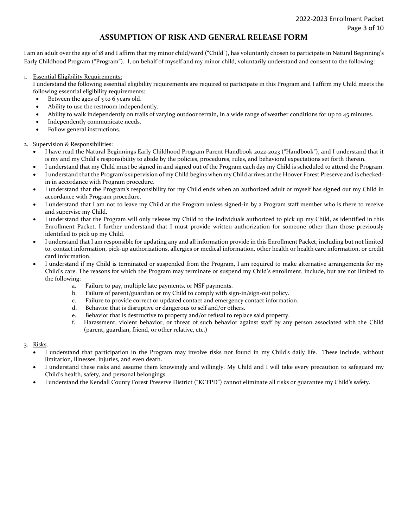#### **ASSUMPTION OF RISK AND GENERAL RELEASE FORM**

I am an adult over the age of 18 and I affirm that my minor child/ward ("Child"), has voluntarily chosen to participate in Natural Beginning's Early Childhood Program ("Program"). I, on behalf of myself and my minor child, voluntarily understand and consent to the following:

1. Essential Eligibility Requirements:

I understand the following essential eligibility requirements are required to participate in this Program and I affirm my Child meets the following essential eligibility requirements:

- Between the ages of 3 to 6 years old.
- Ability to use the restroom independently.
- Ability to walk independently on trails of varying outdoor terrain, in a wide range of weather conditions for up to 45 minutes.
- Independently communicate needs.
- Follow general instructions.

#### 2. Supervision & Responsibilities:

- I have read the Natural Beginnings Early Childhood Program Parent Handbook 2022-2023 ("Handbook"), and I understand that it is my and my Child's responsibility to abide by the policies, procedures, rules, and behavioral expectations set forth therein.
- I understand that my Child must be signed in and signed out of the Program each day my Child is scheduled to attend the Program.
- I understand that the Program's supervision of my Child begins when my Child arrives at the Hoover Forest Preserve and is checkedin in accordance with Program procedure.
- I understand that the Program's responsibility for my Child ends when an authorized adult or myself has signed out my Child in accordance with Program procedure.
- I understand that I am not to leave my Child at the Program unless signed-in by a Program staff member who is there to receive and supervise my Child.
- I understand that the Program will only release my Child to the individuals authorized to pick up my Child, as identified in this Enrollment Packet. I further understand that I must provide written authorization for someone other than those previously identified to pick up my Child.
- I understand that I am responsible for updating any and all information provide in this Enrollment Packet, including but not limited to, contact information, pick-up authorizations, allergies or medical information, other health or health care information, or credit card information.
- I understand if my Child is terminated or suspended from the Program, I am required to make alternative arrangements for my Child's care. The reasons for which the Program may terminate or suspend my Child's enrollment, include, but are not limited to the following:
	- a. Failure to pay, multiple late payments, or NSF payments.
	- b. Failure of parent/guardian or my Child to comply with sign-in/sign-out policy.
	- c. Failure to provide correct or updated contact and emergency contact information.
	- d. Behavior that is disruptive or dangerous to self and/or others.
	- e. Behavior that is destructive to property and/or refusal to replace said property.
	- f. Harassment, violent behavior, or threat of such behavior against staff by any person associated with the Child (parent, guardian, friend, or other relative, etc.)
- 3. Risks.
	- I understand that participation in the Program may involve risks not found in my Child's daily life. These include, without limitation, illnesses, injuries, and even death.
	- I understand these risks and assume them knowingly and willingly. My Child and I will take every precaution to safeguard my Child's health, safety, and personal belongings.
	- I understand the Kendall County Forest Preserve District ("KCFPD") cannot eliminate all risks or guarantee my Child's safety.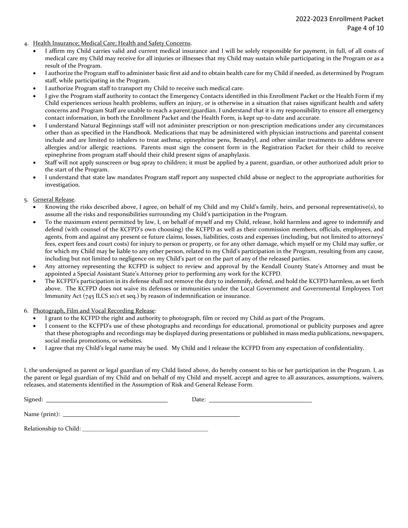- 4. Health Insurance; Medical Care; Health and Safety Concerns.
	- I affirm my Child carries valid and current medical insurance and I will be solely responsible for payment, in full, of all costs of medical care my Child may receive for all injuries or illnesses that my Child may sustain while participating in the Program or as a result of the Program.
	- I authorize the Program staff to administer basic first aid and to obtain health care for my Child if needed, as determined by Program staff, while participating in the Program.
	- I authorize Program staff to transport my Child to receive such medical care.
	- I give the Program staff authority to contact the Emergency Contacts identified in this Enrollment Packet or the Health Form if my Child experiences serious health problems, suffers an injury, or is otherwise in a situation that raises significant health and safety concerns and Program Staff are unable to reach a parent/guardian. I understand that it is my responsibility to ensure all emergency contact information, in both the Enrollment Packet and the Health Form, is kept up-to-date and accurate.
	- I understand Natural Beginnings staff will not administer prescription or non-prescription medications under any circumstances other than as specified in the Handbook. Medications that may be administered with physician instructions and parental consent include and are limited to inhalers to treat asthma; epinephrine pens, Benadryl, and other similar treatments to address severe allergies and/or allergic reactions. Parents must sign the consent form in the Registration Packet for their child to receive epinephrine from program staff should their child present signs of anaphylaxis.
	- Staff will not apply sunscreen or bug spray to children; it must be applied by a parent, guardian, or other authorized adult prior to the start of the Program.
	- I understand that state law mandates Program staff report any suspected child abuse or neglect to the appropriate authorities for investigation.
- 5. General Release.
	- Knowing the risks described above, I agree, on behalf of my Child and my Child's family, heirs, and personal representative(s), to assume all the risks and responsibilities surrounding my Child's participation in the Program.
	- To the maximum extent permitted by law, I, on behalf of myself and my Child, release, hold harmless and agree to indemnify and defend (with counsel of the KCFPD's own choosing) the KCFPD as well as their commission members, officials, employees, and agents, from and against any present or future claims, losses, liabilities, costs and expenses (including, but not limited to attorneys' fees, expert fees and court costs) for injury to person or property, or for any other damage, which myself or my Child may suffer, or for which my Child may be liable to any other person, related to my Child's participation in the Program, resulting from any cause, including but not limited to negligence on my Child's part or on the part of any of the released parties.
	- Any attorney representing the KCFPD is subject to review and approval by the Kendall County State's Attorney and must be appointed a Special Assistant State's Attorney prior to performing any work for the KCFPD.
	- The KCFPD's participation in its defense shall not remove the duty to indemnify, defend, and hold the KCFPD harmless, as set forth above. The KCFPD does not waive its defenses or immunities under the Local Government and Governmental Employees Tort Immunity Act (745 ILCS 10/1 et seq.) by reason of indemnification or insurance.
- 6. Photograph, Film and Vocal Recording Release:
	- I grant to the KCFPD the right and authority to photograph, film or record my Child as part of the Program.
	- I consent to the KCFPD's use of these photographs and recordings for educational, promotional or publicity purposes and agree that these photographs and recordings may be displayed during presentations or published in mass media publications, newspapers, social media promotions, or websites.
	- I agree that my Child's legal name may be used. My Child and I release the KCFPD from any expectation of confidentiality.

I, the undersigned as parent or legal guardian of my Child listed above, do hereby consent to his or her participation in the Program. I, as the parent or legal guardian of my Child and on behalf of my Child and myself, accept and agree to all assurances, assumptions, waivers, releases, and statements identified in the Assumption of Risk and General Release Form.

| n.<br>Signe | лаг<br>$-$ |  |
|-------------|------------|--|
|             |            |  |

Name (print):

Relationship to Child: \_\_\_\_\_\_\_\_\_\_\_\_\_\_\_\_\_\_\_\_\_\_\_\_\_\_\_\_\_\_\_\_\_\_\_\_\_\_\_\_\_\_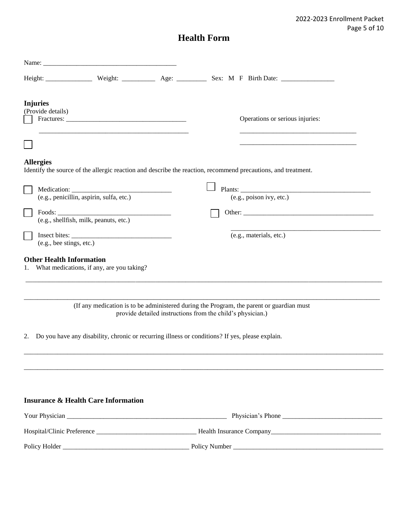2022-2023 Enrollment Packet Page 5 of 10

## **Health Form**

|                                      | Name: Name and the service of the service of the service of the service of the service of the service of the service of the service of the service of the service of the service of the service of the service of the service |                                                            |                                                                                                               |
|--------------------------------------|-------------------------------------------------------------------------------------------------------------------------------------------------------------------------------------------------------------------------------|------------------------------------------------------------|---------------------------------------------------------------------------------------------------------------|
|                                      |                                                                                                                                                                                                                               |                                                            |                                                                                                               |
| <b>Injuries</b><br>(Provide details) |                                                                                                                                                                                                                               |                                                            | Operations or serious injuries:                                                                               |
| <b>Allergies</b>                     |                                                                                                                                                                                                                               |                                                            | Identify the source of the allergic reaction and describe the reaction, recommend precautions, and treatment. |
|                                      | (e.g., penicillin, aspirin, sulfa, etc.)                                                                                                                                                                                      |                                                            | (e.g., poison ivy, etc.)                                                                                      |
|                                      | (e.g., shellfish, milk, peanuts, etc.)                                                                                                                                                                                        |                                                            |                                                                                                               |
| (e.g., bee stings, etc.)             |                                                                                                                                                                                                                               |                                                            | (e.g., materials, etc.)                                                                                       |
| <b>Other Health Information</b>      | What medications, if any, are you taking?                                                                                                                                                                                     |                                                            |                                                                                                               |
| 2.                                   | Do you have any disability, chronic or recurring illness or conditions? If yes, please explain.                                                                                                                               | provide detailed instructions from the child's physician.) | (If any medication is to be administered during the Program, the parent or guardian must                      |
|                                      | <b>Insurance &amp; Health Care Information</b>                                                                                                                                                                                |                                                            |                                                                                                               |
|                                      |                                                                                                                                                                                                                               |                                                            |                                                                                                               |
|                                      |                                                                                                                                                                                                                               |                                                            |                                                                                                               |
|                                      |                                                                                                                                                                                                                               |                                                            |                                                                                                               |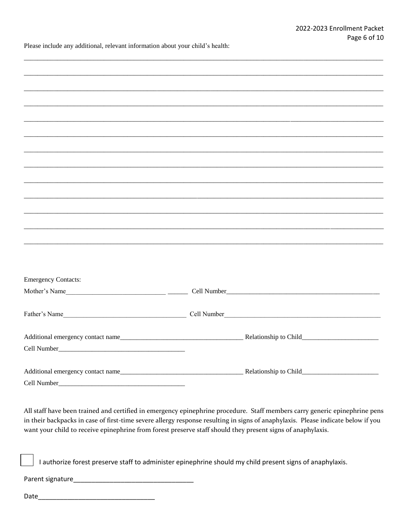Please include any additional, relevant information about your child's health:

| <b>Emergency Contacts:</b>                                                                                  |                                                                                                                                  |  |
|-------------------------------------------------------------------------------------------------------------|----------------------------------------------------------------------------------------------------------------------------------|--|
|                                                                                                             |                                                                                                                                  |  |
|                                                                                                             |                                                                                                                                  |  |
|                                                                                                             |                                                                                                                                  |  |
|                                                                                                             |                                                                                                                                  |  |
|                                                                                                             |                                                                                                                                  |  |
|                                                                                                             |                                                                                                                                  |  |
|                                                                                                             |                                                                                                                                  |  |
|                                                                                                             |                                                                                                                                  |  |
|                                                                                                             |                                                                                                                                  |  |
|                                                                                                             |                                                                                                                                  |  |
|                                                                                                             |                                                                                                                                  |  |
|                                                                                                             | All staff have been trained and certified in emergency epinephrine procedure. Staff members carry generic epinephrine pens       |  |
|                                                                                                             | in their backpacks in case of first-time severe allergy response resulting in signs of anaphylaxis. Please indicate below if you |  |
| want your child to receive epinephrine from forest preserve staff should they present signs of anaphylaxis. |                                                                                                                                  |  |
|                                                                                                             |                                                                                                                                  |  |
|                                                                                                             |                                                                                                                                  |  |
|                                                                                                             | I authorize forest preserve staff to administer epinephrine should my child present signs of anaphylaxis.                        |  |
|                                                                                                             |                                                                                                                                  |  |
|                                                                                                             |                                                                                                                                  |  |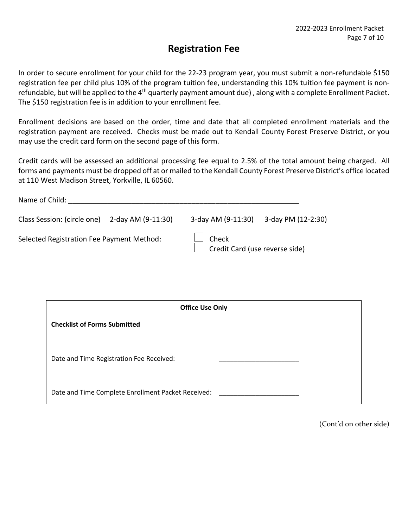### **Registration Fee**

In order to secure enrollment for your child for the 22-23 program year, you must submit a non-refundable \$150 registration fee per child plus 10% of the program tuition fee, understanding this 10% tuition fee payment is nonrefundable, but will be applied to the 4<sup>th</sup> quarterly payment amount due), along with a complete Enrollment Packet. The \$150 registration fee is in addition to your enrollment fee.

Enrollment decisions are based on the order, time and date that all completed enrollment materials and the registration payment are received. Checks must be made out to Kendall County Forest Preserve District, or you may use the credit card form on the second page of this form.

Credit cards will be assessed an additional processing fee equal to 2.5% of the total amount being charged. All forms and payments must be dropped off at or mailed to the Kendall County Forest Preserve District's office located at 110 West Madison Street, Yorkville, IL 60560.

| Name of Child:                                 |  |                                         |                    |
|------------------------------------------------|--|-----------------------------------------|--------------------|
| Class Session: (circle one) 2-day AM (9-11:30) |  | 3-day AM (9-11:30)                      | 3-day PM (12-2:30) |
| Selected Registration Fee Payment Method:      |  | Check<br>Credit Card (use reverse side) |                    |

| <b>Office Use Only</b>                             |
|----------------------------------------------------|
| <b>Checklist of Forms Submitted</b>                |
|                                                    |
| Date and Time Registration Fee Received:           |
|                                                    |
| Date and Time Complete Enrollment Packet Received: |

(Cont'd on other side)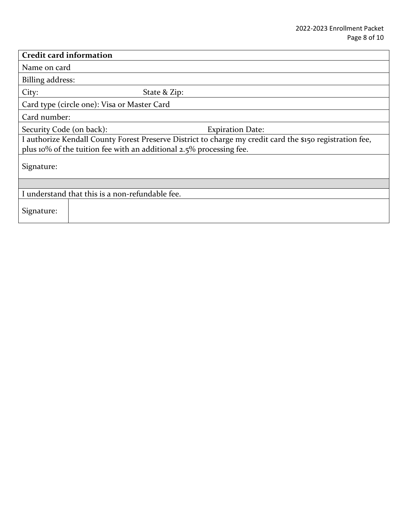| <b>Credit card information</b>                                                                                                                                                  |  |  |  |  |
|---------------------------------------------------------------------------------------------------------------------------------------------------------------------------------|--|--|--|--|
| Name on card                                                                                                                                                                    |  |  |  |  |
| Billing address:                                                                                                                                                                |  |  |  |  |
| City:<br>State & Zip:                                                                                                                                                           |  |  |  |  |
| Card type (circle one): Visa or Master Card                                                                                                                                     |  |  |  |  |
| Card number:                                                                                                                                                                    |  |  |  |  |
| Security Code (on back):<br><b>Expiration Date:</b>                                                                                                                             |  |  |  |  |
| I authorize Kendall County Forest Preserve District to charge my credit card the \$150 registration fee,<br>plus 10% of the tuition fee with an additional 2.5% processing fee. |  |  |  |  |
| Signature:                                                                                                                                                                      |  |  |  |  |
|                                                                                                                                                                                 |  |  |  |  |
| I understand that this is a non-refundable fee.                                                                                                                                 |  |  |  |  |
| Signature:                                                                                                                                                                      |  |  |  |  |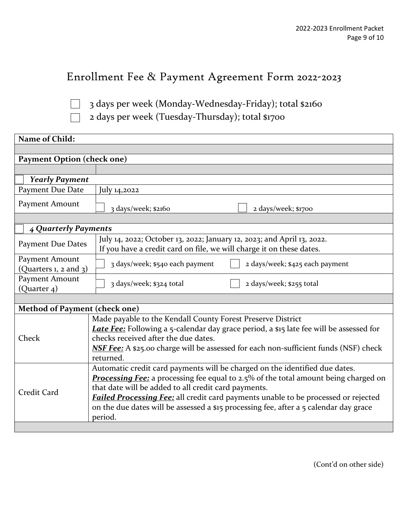# Enrollment Fee & Payment Agreement Form 2022-2023

 $\vert \ \ \vert$  $\Box$  3 days per week (Monday-Wednesday-Friday); total \$2160

2 days per week (Tuesday-Thursday); total \$1700

| Name of Child:                                                                                                                                                                                                                                                                                                                                                                                                                             |                                                                                                                                                                                                                                                                                                                   |  |  |  |
|--------------------------------------------------------------------------------------------------------------------------------------------------------------------------------------------------------------------------------------------------------------------------------------------------------------------------------------------------------------------------------------------------------------------------------------------|-------------------------------------------------------------------------------------------------------------------------------------------------------------------------------------------------------------------------------------------------------------------------------------------------------------------|--|--|--|
|                                                                                                                                                                                                                                                                                                                                                                                                                                            |                                                                                                                                                                                                                                                                                                                   |  |  |  |
| <b>Payment Option (check one)</b>                                                                                                                                                                                                                                                                                                                                                                                                          |                                                                                                                                                                                                                                                                                                                   |  |  |  |
|                                                                                                                                                                                                                                                                                                                                                                                                                                            |                                                                                                                                                                                                                                                                                                                   |  |  |  |
| <b>Yearly Payment</b>                                                                                                                                                                                                                                                                                                                                                                                                                      |                                                                                                                                                                                                                                                                                                                   |  |  |  |
| Payment Due Date                                                                                                                                                                                                                                                                                                                                                                                                                           | July 14,2022                                                                                                                                                                                                                                                                                                      |  |  |  |
| Payment Amount                                                                                                                                                                                                                                                                                                                                                                                                                             | 3 days/week; \$2160<br>2 days/week; \$1700                                                                                                                                                                                                                                                                        |  |  |  |
|                                                                                                                                                                                                                                                                                                                                                                                                                                            |                                                                                                                                                                                                                                                                                                                   |  |  |  |
| 4 Quarterly Payments                                                                                                                                                                                                                                                                                                                                                                                                                       |                                                                                                                                                                                                                                                                                                                   |  |  |  |
| <b>Payment Due Dates</b>                                                                                                                                                                                                                                                                                                                                                                                                                   | July 14, 2022; October 13, 2022; January 12, 2023; and April 13, 2022.<br>If you have a credit card on file, we will charge it on these dates.                                                                                                                                                                    |  |  |  |
| Payment Amount<br>(Quarters 1, 2 and 3)                                                                                                                                                                                                                                                                                                                                                                                                    | 3 days/week; \$540 each payment<br>2 days/week; \$425 each payment                                                                                                                                                                                                                                                |  |  |  |
| Payment Amount<br>(Quarter 4)                                                                                                                                                                                                                                                                                                                                                                                                              | 3 days/week; \$324 total<br>2 days/week; \$255 total                                                                                                                                                                                                                                                              |  |  |  |
|                                                                                                                                                                                                                                                                                                                                                                                                                                            |                                                                                                                                                                                                                                                                                                                   |  |  |  |
| Method of Payment (check one)                                                                                                                                                                                                                                                                                                                                                                                                              |                                                                                                                                                                                                                                                                                                                   |  |  |  |
| Check                                                                                                                                                                                                                                                                                                                                                                                                                                      | Made payable to the Kendall County Forest Preserve District<br><b>Late Fee:</b> Following a 5-calendar day grace period, a \$15 late fee will be assessed for<br>checks received after the due dates.<br><b>NSF Fee:</b> A \$25.00 charge will be assessed for each non-sufficient funds (NSF) check<br>returned. |  |  |  |
| Automatic credit card payments will be charged on the identified due dates.<br><b>Processing Fee:</b> a processing fee equal to 2.5% of the total amount being charged on<br>that date will be added to all credit card payments.<br>Credit Card<br>Failed Processing Fee: all credit card payments unable to be processed or rejected<br>on the due dates will be assessed a \$15 processing fee, after a 5 calendar day grace<br>period. |                                                                                                                                                                                                                                                                                                                   |  |  |  |
|                                                                                                                                                                                                                                                                                                                                                                                                                                            |                                                                                                                                                                                                                                                                                                                   |  |  |  |

(Cont'd on other side)